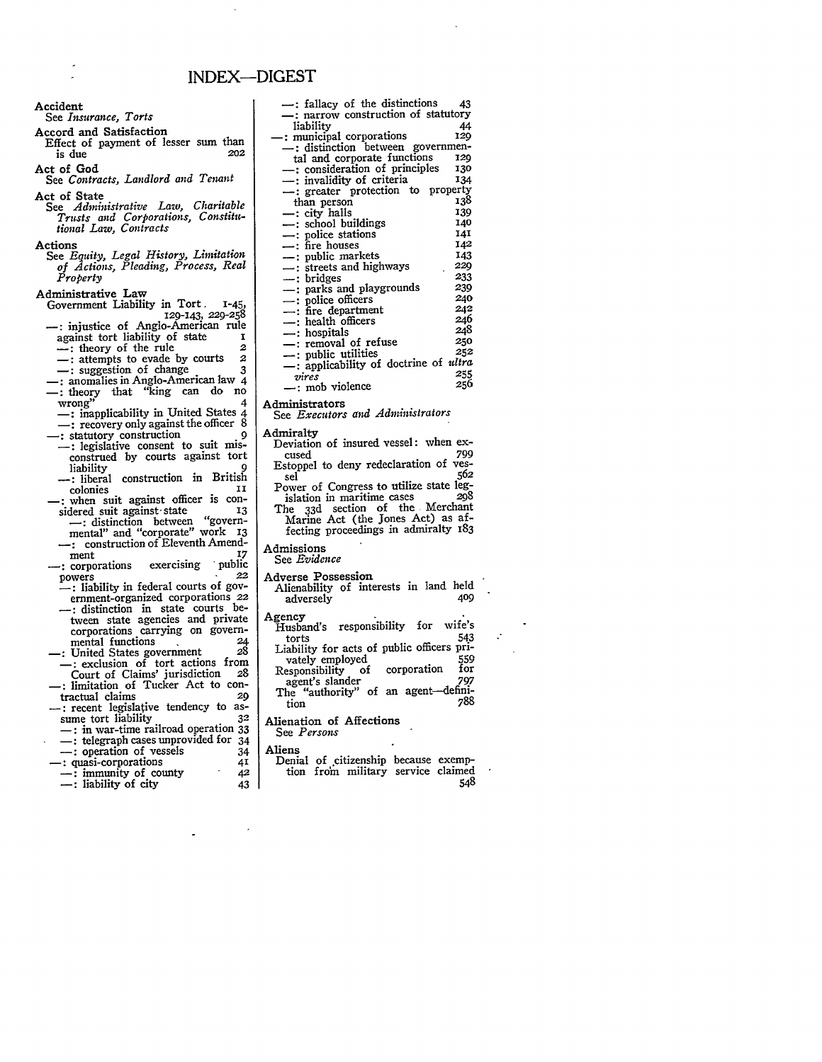# **INDEX-DIGEST**

Accord and Satisfaction Effect of payment of lesser sum than is due **202** Act of God See *Contracts, Landlord and Tenant* Act of State See *Administrative Law, Charitable Trusts and Corporations, Constitutional Law, Contracts* **Actions** See *Equity, Legal History, Limitation of Actions, Pleading, Process, Real Property* Administrative Law Government Liability in Tort. 1-45, I29-143, **229-258 :** injustice of Anglo-American rule against tort liability of state **i**  $\frac{1}{2}$  theory of the rule 2  $-$ : attempts to evade by courts -: suggestion of change 3 **:** anomalies in Anglo-American law 4 - theory that "king can do no wrong" 4 -: inapplicability in United States 4 : recovery only against the officer 8 -: statutory construction --: legislative consent to suit misconstrued by courts against tort liability 9 **-:** liberal construction in British colonies **ii :** when suit against officer is considered suit against state **13**<br>
--: distinction between "govern-<br>
mental" and "corporate" work **1**3 -: construction of Eleventh Amendment 17 ment<br> **EXECUTE: EXECUTE:** PUBLIC<br>
powers<br>  $22$ powers **.** 22 **-:** liability in federal courts of government-organized corporations 22 -: distinction in state courts between state agencies and private corporations carrying on governmental functions **24 :** United States government *28* **-:** exclusion **of** tort actions from Court of Claims' jurisdiction **28 :** limitation of Tucker Act to contractual claims 29 <sup>2</sup>: recent legislative tendency to as-<br>sume tort liability 32 sume tort liability **-:** in war-time railroad operation **33 -:** telegraph cases unprovided for 34 **-:** operation of vessels 34 <sup>2</sup>: quasi-corporations 41<br>
— : immunity of county 42 **-:** immunity of county 42 -: liability of city 43

Accident

See *Insurance, Torts*

**:** fallacy of the distinctions 43 **-:** narrow construction of statutory liability 44<br>municipal corporations 120 -: municipal corporations **129** -: distinction between governmental and corporate functions **129** -: consideration of principles **130 -:** invalidity of criteria **134** -: greater protection to property than person  $\cdot$  138<br>  $\cdot$  city halls 139  $-$ : city halls  $13$ -: school buildings **140** <sup>-</sup>: police stations 141<br>-: fire houses 142 -: fire houses<br>-: nuhlic markets 143 **:** public markets 143 streets and highways 229<br>
hridges 233 -: bridges **233** parks and playgrounds **239**<br>
police officers 240 police officers 240<br>fire department 242  $\frac{1}{242}$  -: fire department 242  $\frac{1}{246}$  health officers 246  $-$ : hospitals  $248$ <br>computed by  $250$ **-:** removal of refuse **250 :** public utilities *252* -: applicability of doctrine of *ultra vires* **255** primes<br>
-: mob violence *256* Administrators See *Executors and Administrators* **Admiralty** Deviation of insured vessel: when ex-<br>rused 799 cused 799 Estoppel to deny redeclaration of vessel<br>
Sel<br>
Power of Congress to utilize state leg-<br>
islation in maritime cases<br>
The 33d section of the Merchant<br>
Marine Act (the Jones Act) as affecting proceedings in admiralty 183 Admissions See *Evidence* Adverse Possession Alienability of interests in land held adversely **409** Agency Husband's responsibility for wife's torts <sup>543</sup> Liability for acts of public officers privately employed 559 Responsibility of corporation for agent's slander 797 The "authority" of an agent-definition **788**

Alienation of Affections See *Persons* Aliens

Denial of citizenship because exemption from military service claimed 548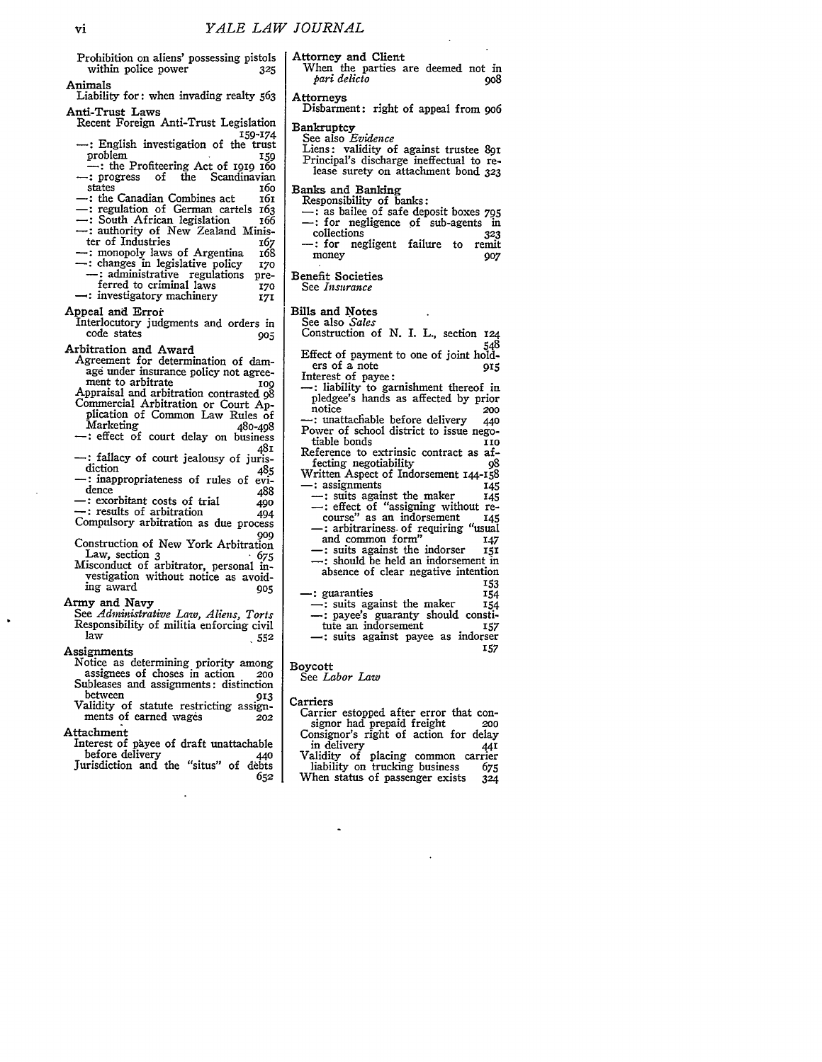Prohibition on aliens' possessing pistols<br>within police power 325 within police power Animals Liability for: when invading realty 563 Anti-Trust Laws Recent Foreign Anti-Trust Legislation 159 - English investigation of the trust<br>159 roblem problem **<sup>159</sup>** -: the Profiteering Act of **1919** i6o -: progress of the Scandinavian -: the Canadian Combines act 161<br>-: regulation of German cartels 163<br>-: South African legislation 166 -: authority of New Zealand Minis-<br>ter of Industries ter of Industries : monopoly laws of Argentina 168<br>: changes in legislative policy 170 -: changes in legislative policy **<sup>170</sup> -:** administrative regulations preferred to criminal laws **170**<br>investigatory machinery 171 **:** investigatory machinery **171** Appeal and Error Interlocutory judgments and orders in code states **905** Arbitration and Award Agreement for determination of damage under insurance policy not agreement to arbitrate **109** Appraisal and arbitration contrasted **98** Commercial Arbitration or Court **Ap**plication of Common Law Rules of<br>Marketing 480-408 Marketing 480-498 -: effect of court delay on business **<sup>481</sup>** -: fallacy of court jealousy of juris-<br>diction diction 485<br>  $\cdot$ : inappropriateness of rules of evi-<br>
dence dence 488<br>
-: exorbitant costs of trial 490 -: results of arbitration 494 Compulsory arbitration as due process **9o9** Construction of New York Arbitration Law, section 3 **'** *675* Misconduct of arbitrator, personal investigation without notice as avoid-ing award *905* Army and Navy *See Administrative Law, Aliens, Torts* Responsibility of militia enforcing civil law **552** Assignments Notice as determining priority among assignees of choses in action **200** Subleases and assignments: distinction between **913** Validity of statute restricting assignments of earned wages  $\overline{202}$ Attachment Interest of payee of draft unattachable before delivery 440 Jurisdiction and the "situs" of debts **652** Attorney and Client Boycott Carriers

When the parties are deemed not in  $pari$  delicto  $908$ *pari delicto* Attorneys Disbarment: right of appeal from 9o6 Bankruptcy See also *Evidence* Liens: validity of against trustee 891 Principal's discharge ineffectual to re- lease surety on attachment bond **<sup>323</sup>** Banks and Banking Responsibility of banks: **:** as bailee of safe deposit boxes *<sup>795</sup>* : for negligence **of** sub-agents in -: for negligent failure to remit<br>money 907 money Benefit Societies See *Insurance* Bills and Notes See also *Sales* Construction of N. I. L., section **I24** Effect of payment to one of joint hold-<br>ers of a note 915 Interest of payee:<br>
-: liability to garnishment thereof in pledgee's hands as affected by prior<br>notice 200<br>**-:** unattachable before delivery 440 Power of school district to issue negotiable bonds<br>eference to extrinsic contract as af-Reference to extrinsic contract as af-<br>fecting negotiability of fecting negotiability **98** Written Aspect of Indorsement 144-158<br>
- : assignments **145**<br>
- : suits against the maker 145 -: suits against the maker the maker of "assigning without re-<br>
course" as an indorsement **145**<br>
-: arbitrariness of requiring "usual -: arbitrariness of requiring "usual<br>and common form" 147 and common form" **<sup>147</sup>** -: suits against the indorser **<sup>151</sup>** -: should be held an indorsement in absence of clear negative intention '53 - guaranties **<sup>154</sup> -:** suits against the maker <sup>154</sup> -: payee's guaranty should consti-tute an indorsement **157** -: suits against payee as indorser 157

# See *Labor Law*

Carrier estopped after error that con-<br>signor had prepaid freight **200** Consignor's right of action for delay<br>in delivery 441

Validity of placing common carrier<br>liability on trucking business 675 liability on trucking business *675* When status of passenger exists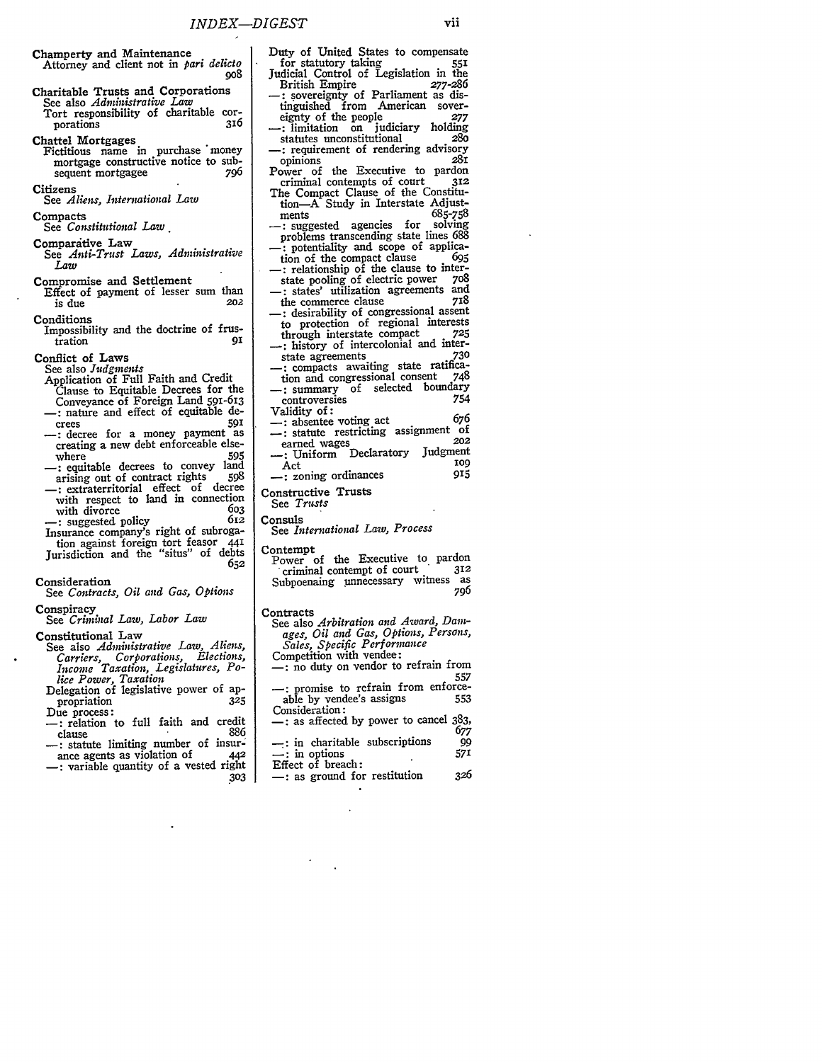- Champerty and Maintenance Attorney and client not in *pari delicto* **908**
- Charitable Trusts and Corporations See also *Administrative Law* Tort responsibility of charitable corporations **316**

Chattel Mortgages

Fictitious name in purchase 'money mortgage constructive notice to sub-<br>sequent mortgagee 796 sequent mortgagee

**Citizens** See *Aliens, Interuational Law*

Compacts

See *Constitutional Law.*

- Comparative Law See *Anti-Trust Laws, Administrative*
- *Law*
- Compromise and Settlement Effect of payment of lesser sum than<br> $\frac{1}{202}$ is due
- **Conditions**
- Impossibility and the doctrine of frus- $\frac{1}{1}$ **ration**

Conflict of Laws

See also *Judgments*

- Application of Full Faith and Credit Clause to Equitable Decrees for the
- Conveyance of Foreign Land 591-613 **-:** nature and effect of equitable de-
- crees **591 -:** decree **for** a money payment as creating a new debt enforceable else-
- where **595 -:** equitable decrees to convey land arising out of contract rights **598**
- **-:** extraterritorial effect of decree with respect to land in connection with divorce 603<br>
-: suggested policy 612
- **-:** suggested policy 612 Insurance company's right of subrogation against foreign tort feasor **441** Jurisdiction and the "situs" of debts
- **652** Consideration
- See *Contracts, Oil and Gas, Options*
- **Conspiracy**
- See *Criminal Law, Labor Law*

## Constitutional Law

- See also *Administrative Law, Aliens, Carriers, Corporations, Elections, Income Taxation, Legislatures, Police Power, Taxation*
- Delegation of legislative power of appropriation 325<br>Due process:
- -: relation to full faith and credit<br>clause 886
- clause 886 **-:** statute limiting number of insur-: ance agents as violation of *442*
- **:** variable quantity of a vested right **303**

Judicial Control of Legislation in the<br>British Empire 277-286 British Empire **-:** sovereignty of Parliament as distinguished from American sover-eignty of the people **277 -:** limitation on judiciary holding statutes unconstitutional **280** -: requirement of rendering advisory<br>opinions 281 opinions **281** Power of the Executive to pardon<br>criminal contempts of court 312 criminal contempts of court **312** The Compact Clause of the Constitution-A Study in Interstate Adjustments **685-758** ments 685-758<br>
-: suggested agencies for solving problems transcending state lines **688 -:** potentiality and scope of application of the compact clause **-:** relationship of the clause to interstate pooling of electric power **708 \_:** states' utilization agreements and the commerce clause **718** -: desirability of congressional assent to protection of regional interests through interstate compact **725** <sup>-</sup>: history of intercolonial and interstate agreements **-:** compacts awaiting state ratification and congressional consent **\_:** summary of selected boundary controversies 754

Duty of United States to compensate for statutory taking **<sup>551</sup>**

- Validity of: **-:** absentee voting act *<sup>676</sup>* -: statute restricting assignment of earned wages<br> **202**<br> **202**<br> **202**<br> **11 The Contractory Sudgment** -: Uniform Declaratory Judgment
- Act 109<br>
-: zoning ordinances 915
- Constructive Trusts
- See *Trusts*
- Consuls
- See *International Law, Process*

Contempt

Power of the Executive to pardon<br>criminal contempt of court 312 Subpoenaing unnecessary witness as **796**

#### **Contracts**

- See also *Arbitration and Award, Damages, Oil and Gas, Options, Persons, Sales, Specific Performance*
- 
- -: no duty on vendor to refrain from **557**
- -: promise to refrain from enforceable by vendee's assigns **<sup>553</sup>** Consideration:
- **-:** as affected **by** power to cancel **383, 677**
- **-:** in charitable subscriptions 99 -: in options 571
- Effect of breach:
- -: as ground for restitution 326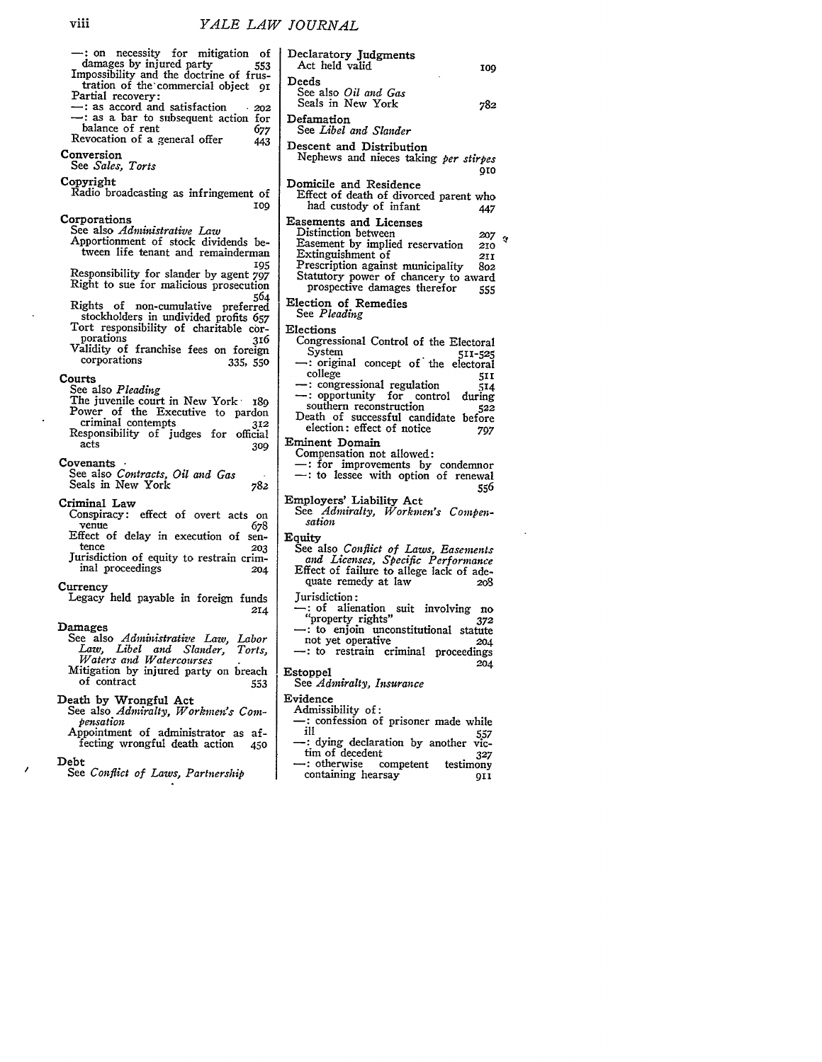| -: on necessity for mitigation of<br>damages by injured party<br>553                                                                                                                                                         | Declaratory Judgments<br>Act held valid<br>IO                                                                                                                                                                                                                                        |
|------------------------------------------------------------------------------------------------------------------------------------------------------------------------------------------------------------------------------|--------------------------------------------------------------------------------------------------------------------------------------------------------------------------------------------------------------------------------------------------------------------------------------|
| Impossibility and the doctrine of frus-<br>tration of the commercial object 91<br>Partial recovery:<br>$\rightarrow$ : as accord and satisfaction<br>202                                                                     | Deeds<br>See also <i>Oil and Gas</i><br>Seals in New York<br>78:                                                                                                                                                                                                                     |
| -: as a bar to subsequent action for<br>balance of rent<br>677<br>Revocation of a general offer<br>443                                                                                                                       | Defamation<br>See Libel and Slander                                                                                                                                                                                                                                                  |
| Conversion<br>See Sales, Torts                                                                                                                                                                                               | Descent and Distribution<br>Nephews and nieces taking per stirpe.<br>91                                                                                                                                                                                                              |
| Copyright<br>Radio broadcasting as infringement of<br>109                                                                                                                                                                    | Domicile and Residence<br>Effect of death of divorced parent who<br>had custody of infant<br>44,                                                                                                                                                                                     |
| Corporations<br>See also Administrative Law<br>Apportionment of stock dividends be-<br>tween life tenant and remainderman<br>105<br>Responsibility for slander by agent 797<br>Right to sue for malicious prosecution<br>564 | <b>Easements and Licenses</b><br>Distinction between<br>20,<br>Easement by implied reservation<br>210<br>Extinguishment of<br>21.<br>Prescription against municipality<br>80:<br>Statutory power of chancery to award<br>prospective damages therefor<br>55.<br>Election of Remedies |
| Rights of non-cumulative preferred<br>stockholders in undivided profits 657<br>Tort responsibility of charitable cor-<br>porations<br>316<br>Validity of franchise fees on foreign<br>corporations<br>335, 550               | See Pleading<br>Elections<br>Congressional Control of the Electora<br>Svstem<br>511-52!<br>$\rightarrow$ : original concept of the electoral                                                                                                                                         |
| Courts<br>See also Pleading<br>The juvenile court in New York 189<br>Power of the Executive to pardon<br>criminal contempts<br>312<br>Responsibility of judges for official                                                  | college<br>511<br>-: congressional regulation<br>514<br>- : opportunity for control<br>during<br>southern reconstruction<br>522<br>Death of successful candidate before<br>election: effect of notice<br>797                                                                         |
| acts<br>309<br>Covenants ·<br>See also Contracts, Oil and Gas<br>Seals in New York<br>782                                                                                                                                    | Eminent Domain<br>Compensation not allowed:<br>-: for improvements by condemnor<br>-: to lessee with option of renewal<br>556                                                                                                                                                        |
| Criminal Law<br>Conspiracy: effect of overt acts on<br>venue<br>678                                                                                                                                                          | Employers' Liability Act<br>See Admiralty, Workmen's Compen-<br>sation                                                                                                                                                                                                               |
| Effect of delay in execution of sen-<br>tence<br>203<br>Jurisdiction of equity to restrain crim-<br>inal proceedings<br>204                                                                                                  | Equity<br>See also Conflict of Laws, Easements<br>and Licenses, Specific Performance<br>Effect of failure to allege lack of ade-<br>quate remedy at law<br>208                                                                                                                       |
| Currency<br>Legacy held payable in foreign funds<br>214<br>Damages                                                                                                                                                           | Jurisdiction:<br>-: of alienation suit involving no<br>"property rights"<br>372<br>$-$ : to enjoin unconstitutional statute                                                                                                                                                          |
| See also Administrative Law, Labor<br>Law, Libel and Slander,<br>Torts,<br>Waters and Watercourses                                                                                                                           | not yet operative<br>204<br>-: to restrain criminal proceedings<br>204                                                                                                                                                                                                               |
| Mitigation by injured party on breach<br>of contract<br>553                                                                                                                                                                  | <b>Estoppel</b><br>See Admiralty, Insurance                                                                                                                                                                                                                                          |
| Death by Wrongful Act<br>See also Admiralty, Workmen's Com-<br>pensation<br>Appointment of administrator as af-<br>fecting wrongful death action<br>450                                                                      | Evidence<br>Admissibility of:<br>-: confession of prisoner made while<br>iН<br>557<br>- dying declaration by another vic-                                                                                                                                                            |
| Debt<br>See Conflict of Laws, Partnership                                                                                                                                                                                    | tim of decedent<br>327<br>$\rightarrow$ : otherwise<br>competent<br>testimony<br>containing hearsay<br>911                                                                                                                                                                           |
|                                                                                                                                                                                                                              |                                                                                                                                                                                                                                                                                      |
|                                                                                                                                                                                                                              |                                                                                                                                                                                                                                                                                      |

| Declaratory Judgments<br>Act held valid                                                                                                                                                                                                                                                                     | 100                                  |
|-------------------------------------------------------------------------------------------------------------------------------------------------------------------------------------------------------------------------------------------------------------------------------------------------------------|--------------------------------------|
| Deeds<br>See also Oil and Gas<br>Seals in New York                                                                                                                                                                                                                                                          | 782                                  |
| Defamation<br>See Libel and Slander                                                                                                                                                                                                                                                                         |                                      |
| Descent and Distribution<br>Nephews and nieces taking per stirpes                                                                                                                                                                                                                                           | 910                                  |
| Domicile and Residence<br>Effect of death of divorced parent who<br>had custody of infant                                                                                                                                                                                                                   | 447                                  |
| <b>Easements and Licenses</b><br>Distinction between<br>Easement by implied reservation<br>Extinguishment of<br>Prescription against municipality<br>Statutory power of chancery to award<br>prospective damages therefor                                                                                   | 207<br>210<br>2II<br>802<br>555      |
| Election of Remedies<br>See Pleading                                                                                                                                                                                                                                                                        |                                      |
| Elections<br>Congressional Control of the Electoral<br>System<br>-: original concept of the electoral<br>college<br>- congressional regulation<br>-: opportunity for control<br>during<br>southern reconstruction<br>Death of successful candidate before<br>election: effect of notice<br>Eminent Domain   | 511-525<br>51 I<br>514<br>522<br>797 |
| Compensation not allowed:<br>$-$ : for improvements by condemnor<br>$-$ : to lessee with option of renewal                                                                                                                                                                                                  | 556                                  |
| Employers' Liability Act<br>See Admiralty, Workmen's Compen-<br>sation                                                                                                                                                                                                                                      |                                      |
| Equity<br>See also Conflict of Laws, Easements<br>and Licenses, Specific Performance<br>Effect of failure to allege lack of ade-<br>quate remedy at law<br>Jurisdiction:<br>$\cdot$ : of alienation<br>suit involving<br>"property rights"<br>$-$ : to enjoin unconstitutional statute<br>not yet operative | 208<br>no<br>372<br>204              |
| - to restrain criminal<br>proceedings<br>Estoppel                                                                                                                                                                                                                                                           | 204                                  |
| See Admiralty, Insurance<br>Evidence                                                                                                                                                                                                                                                                        |                                      |
| Admissibility of:<br>-: confession of prisoner made while<br>ill<br>-: dying declaration by another vic-                                                                                                                                                                                                    | 557                                  |

 $\hat{q}$ 

 $\hat{\mathcal{A}}$ 

 $\overline{\phantom{a}}$ 

 $\overline{ }$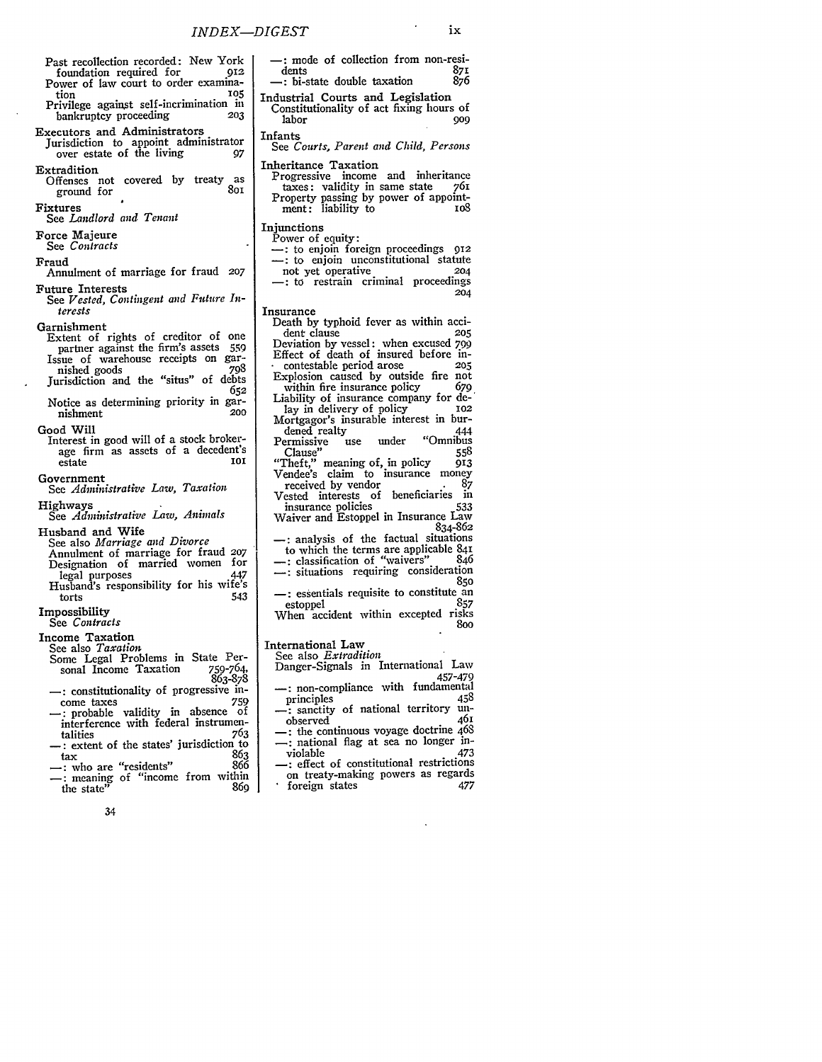- Past recollection recorded: New York foundation required for
- Power of law court to order examination **105** Privilege against self-incrimination in bankruptcy proceeding **203**
- Executors and Administrators Jurisdiction to appoint administrator
- over estate of the living 97 Extradition
- Offenses not covered by treaty as ground for

Fixtures See *Landlord and Tenant*

Force Majeure

## See *Contracts*

#### Fraud

- Annulment of marriage for fraud *207* Future Interests
- See *Vested, Contingent and Future Interests*

#### Garnishment

- Extent of rights of creditor of one partner against the firm's assets 559 Issue of warehouse receipts on garnished goods **798** Jurisdiction and the "situs" of debts
- **652** Notice as determining priority in gar- nishment 200
- Good Will
- Interest in good will of a stock brokerage firm as assets of a decedent's  $estate$

### Government

See *Administrative Law, Taxation*

#### Highways See *Administrative Law, Animals*

- Husband and Wife
	- See also *Marriage and Divorce* Annulment of marriage for fraud **207** Designation of married women for legal purposes 447 Husband's responsibility for his wife's

## torts 543 Impossibility

See *Contracts*

### Income Taxation

- See also *Taxation*
- Some Legal Problems in State Per-<br>sonal Income Taxation 759-764, sonal Income Taxation 863-878
- <sup>-</sup>: constitutionality of progressive in-<br>come taxes 759
- : probable validity in absence of interference with federal instrumentalities 763 talities 763 **-:** extent of the states' jurisdiction to
- tax **863** -: who are "residents" 866 -: meaning of "income from within
- 
- the state $\mathbf{R}^{\prime\prime}$  and  $\mathbf{R}^{\prime\prime}$  and  $\mathbf{R}^{\prime\prime}$  and  $\mathbf{R}^{\prime\prime}$  and  $\mathbf{R}^{\prime\prime}$  and  $\mathbf{R}^{\prime\prime}$  and  $\mathbf{R}^{\prime\prime}$  and  $\mathbf{R}^{\prime\prime}$  and  $\mathbf{R}^{\prime\prime}$  and  $\mathbf{R}^{\prime\prime}$  and  $\mathbf{R}^{\prime\prime}$  and  $\math$ 
	- 34
- **-:** mode of collection from non-residents **871 -:** bi-state double taxation **876** Industrial Courts and Legislation Constitutionality of act fixing hours of labor **909** Infants See *Courts, Parent and Child, Persons* Inheritance Taxation Progressive income and inheritance taxes: validity in same state 761 Property passing by power of appointment: liability to compare to los **Injunctions** Power of equity: -: to enjoin foreign proceedings 912 -: to enjoin unconstitutional statute not yet operative 204 -: to restrain criminal proceedings 204 Insurance Death **by** typhoid fever as within accident clause **205** Deviation **by** vessel: when excused *799* Effect of death of insured before in- **.** contestable period arose **205** Explosion caused by outside fire not within fire insurance policy 679 Liability of insurance company for de-' lay in delivery of policy Mortgagor's insurable interest in bur-dened realty 444 dened realty<br>Permissive use under "Omnibus<br>Clause" 558 Clause" 558 "Theft," meaning of, in policy 913 Theft," meaning of, in policy 913<br>Vendee's claim to insurance money received by vendor 87<br>received interests of beneficiaries in Vested interests of beneficiaries in insurance policies
	- Waiver and Estoppel in Insurance Law 834-862 -: analysis of the factual situations
	- to which the terms are applicable 841 --: classification of "waivers" 846 **:** situations requiring consideration
	- **850** : essentials requisite to constitute an<br>estonnel<br>857
	- estoppel **857** When accident within excepted risks 8oo

# International Law

- See also *Extradition* Danger-Signals in International Law 457-479
- -: non-compliance with fundamental<br>principles 458 principles 458<br>
—: sanctity of national territory un-
- observed 461 -: the continuous voyage doctrine 468 -: national flag at sea no longer in-violable 473
- -: effect of constitutional restrictions on treaty-making powers as regards foreign states 477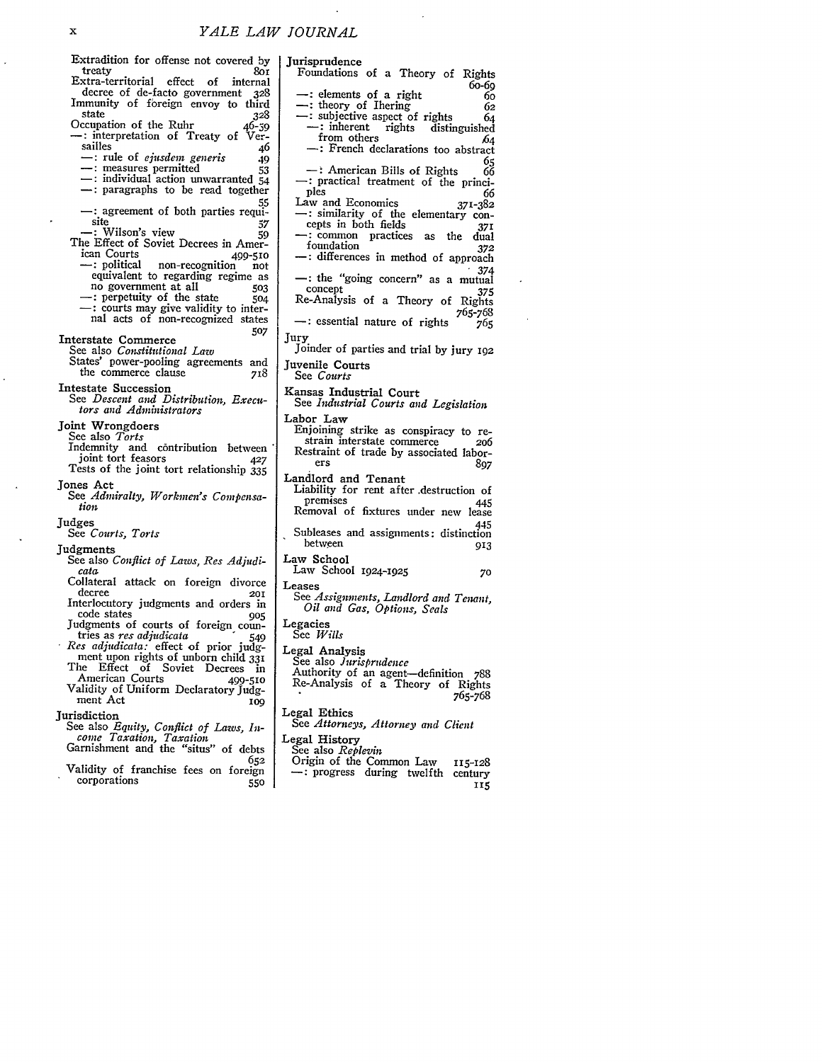| Extradition for offense not covered by                                     | Jurisprudence                                                             |
|----------------------------------------------------------------------------|---------------------------------------------------------------------------|
| treaty<br>80 I<br>Extra-territorial effect<br>of<br>internal               | Foundations of a Theory of Rights                                         |
| decree of de-facto government<br>328                                       | 60-69<br>-: elements of a right<br>60                                     |
| Immunity of foreign envoy to third                                         | $\rightarrow$ : theory of Ihering<br>62                                   |
| state<br>328                                                               | -: subjective aspect of rights<br>64                                      |
| Occupation of the Ruhr<br>$46 - 39$                                        | $-$ : inherent<br>rights<br>distinguished                                 |
| -: interpretation of Treaty of Ver-<br>sailles<br>46                       | from others<br>64                                                         |
| -: rule of <i>ejusdem</i> generis<br>49                                    | -: French declarations too abstract<br>65                                 |
| - : measures permitted<br>53                                               | $-$ : American Bills of Rights<br>66                                      |
| $-$ : individual action unwarranted $54$                                   | -: practical treatment of the princi-                                     |
| -: paragraphs to be read together                                          | ples<br>66                                                                |
| 55<br>- agreement of both parties requi-                                   | Law and Economics<br>371-382<br>-: similarity of the elementary con-      |
| site<br>57                                                                 | cepts in both fields<br>371                                               |
| -: Wilson's view<br>59                                                     | -: common practices as the<br>dual                                        |
| The Effect of Soviet Decrees in Amer-<br>ican Courts                       | foundation<br>372                                                         |
| 499-510<br>-: political non-recognition<br>not                             | -: differences in method of approach                                      |
| equivalent to regarding regime as                                          | 374<br>-: the "going concern" as a mutual                                 |
| no government at all<br>503                                                | concept<br>375                                                            |
| - perpetuity of the state<br>- 504                                         | Re-Analysis of a Theory of Rights                                         |
| -: courts may give validity to inter-<br>nal acts of non-recognized states | 765-768                                                                   |
| 507                                                                        | -: essential nature of rights<br>765                                      |
| Interstate Commerce                                                        | Jury                                                                      |
| See also <i>Constitutional Law</i>                                         | Joinder of parties and trial by jury 192                                  |
| States' power-pooling agreements and<br>the commerce clause<br>718         | Juvenile Courts                                                           |
|                                                                            | See Courts                                                                |
| <b>Intestate Succession</b><br>See Descent and Distribution, Execu-        | Kansas Industrial Court                                                   |
| tors and Administrators                                                    | See Industrial Courts and Legislation                                     |
| Joint Wrongdoers                                                           | Labor Law                                                                 |
| See also <i>Torts</i>                                                      | Enjoining strike as conspiracy to re-<br>strain interstate commerce       |
| Indemnity and contribution between                                         | 206<br>Restraint of trade by associated labor-                            |
| joint tort feasors<br>427                                                  | ers<br>897                                                                |
| Tests of the joint tort relationship 335                                   | Landlord and Tenant                                                       |
| Jones Act                                                                  | Liability for rent after destruction of                                   |
| See Admiralty, Workmen's Compensa-<br>tion                                 | premises<br>445                                                           |
|                                                                            | Removal of fixtures under new lease                                       |
| Judges<br>See Courts, Torts                                                | 445<br>Subleases and assignments: distinction                             |
|                                                                            | between<br>913                                                            |
| Judgments<br>See also Conflict of Laws, Res Adjudi-                        | Law School                                                                |
| cata                                                                       | Law School 1924-1925<br>70                                                |
| Collateral attack on foreign divorce                                       | Leases                                                                    |
| decree<br>201                                                              | See Assignments, Landlord and Tenant,                                     |
| Interlocutory judgments and orders in<br>code states<br>905                | Oil and Gas, Options, Seals                                               |
| Judgments of courts of foreign coun-                                       | Legacies                                                                  |
| tries as <i>res adjudicata</i><br>549                                      | See Wills                                                                 |
| Res adjudicata: effect of prior judg-                                      | Legal Analysis                                                            |
| ment upon rights of unborn child 331<br>The Effect of Soviet Decrees in    | See also Jurisprudence                                                    |
| American Courts<br>499-510                                                 | Authority of an agent-definition 788<br>Re-Analysis of a Theory of Rights |
| Validity of Uniform Declaratory Judg-                                      | 765-768                                                                   |
| ment Act<br>100                                                            |                                                                           |
| <b>Iurisdiction</b>                                                        | Legal Ethics<br>See Attorneys, Attorney and Client                        |
| See also Equity, Conflict of Laws, In-<br>come Taxation, Taxation          |                                                                           |
| Garnishment and the "situs" of debts                                       | Legal History<br>See also <i>Replevin</i>                                 |
| 652                                                                        | Origin of the Common Law<br>115-128                                       |
| Validity of franchise fees on foreign                                      | - progress during twelfth:<br>century                                     |
| corporations<br>550                                                        | 115                                                                       |
|                                                                            |                                                                           |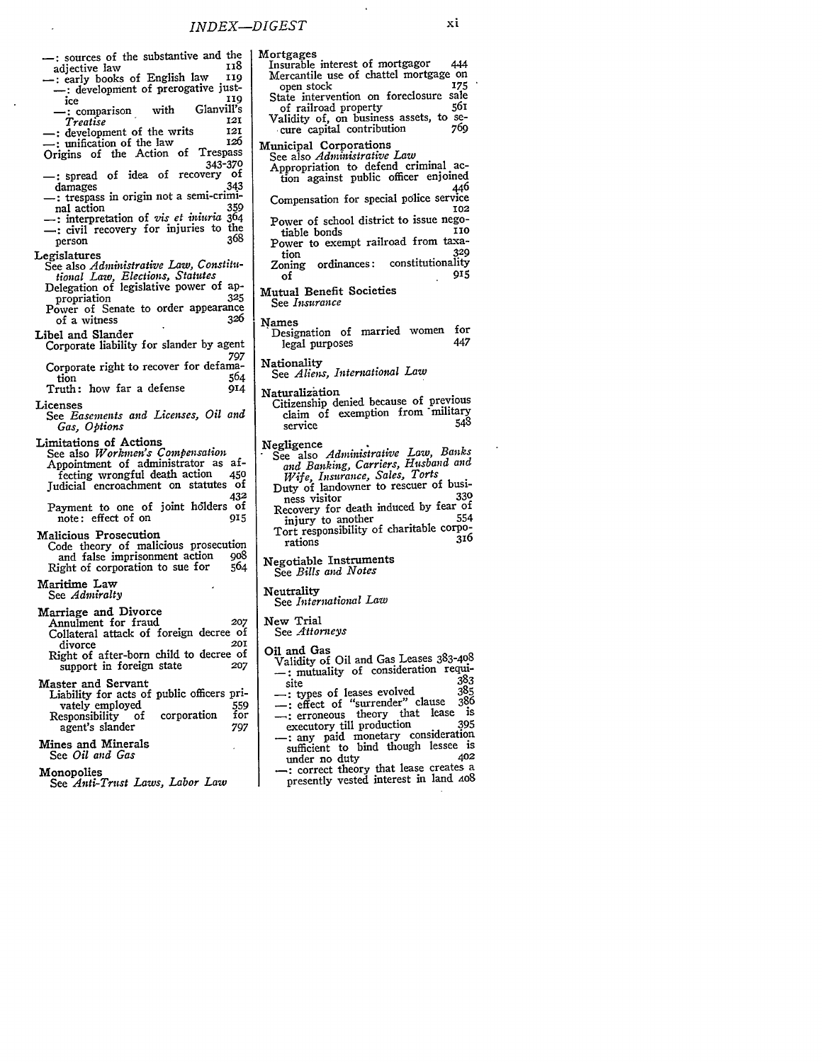**-:** sources of the substantive and the adjective law<br> **118** : early books of English law<br>
119 -: development of prerogative just-<br>ice 119 ice<br>
icomparison with Glanvill's<br> **119** *Treatise* **121** -: development of the writs **121** unification of the law<br>rigins of the Action of Trespass Origins of the Action of **343-370 -** spread of idea of recovery **of** damages 343 **-** trespass in origin not a semi-criminal action **359 :** interpretation of *vis et iniuria* 364  $\frac{1}{2}$ : civil recovery for injuries to the person **368** Legislatures See also *Administrative Law, Constitutional Law, Elections, Statutes* Delegation of legislative power of appropriation **325** Power of Senate to order appearance of a witness *326* Libel and Slander Corporate liability for slander by agent Corporate right to recover for defama-<br>tion 564 tion 564 Truth: how far a defense 914 Licenses See *Easements and Licenses, Oil and Gas, Options* Limitations of Actions See also *Workmen's Compensation* Appointment of administrator as affecting wrongful death action 450 fecting wrongful death action Judicial encroachment on statutes of 432 Payment to one of joint holders of<br>note: effect of on one note: effect of on Malicious Prosecution Code theory of malicious prosecution and false imprisonment action go and false imprisonment action 908<br>Right of corporation to sue for 564 Maritime Law See *Admiralty* Marriage and Divorce Annulment for fraud *207* Collateral attack of foreign decree of divorce **201** Right of after-born child to decree of support in foreign state *207* Master and Servant Liability for acts of public officers privately employed<br>
esponsibility of corporation for Responsibility of corporation for<br>agent's slander 797 agent's slander Mines and Minerals See *Oil and Gas* Monopolies See *Anti-Trust Laws, Labor Law*

Mercantile use of chattel mortgage on<br>open stock 175 open stock 175<br>tate intervention on foreclosure sale State intervention on foreclosure sale<br>of railroad property 561 of railroad property Validity of, on business assets, to secure capital contribution Municipal Corporations See also *Administrative Law* Appropriation to defend criminal action against public officer enjoined 446 Compensation for special police service **102** Power of school district to issue negotiable bonds **HiO** Power to exempt railroad from taxation **329** Zoning ordinances: constitutionality of 915 Mutual Benefit Societies See *Insurance* Names Designation of married women for<br>legal nurnoses 447 legal purposes Nationality See *Aliens, International Law* Naturalization Citizenship denied because of previous claim **of** exemption from \*military service **548** Negligence See also *Administrative Law, Banks and Banking, Carriers, Husband and Wife, Insurance, Sales, Torts* Duty of landowner to rescuer of business visitor **330** ness visitor 330<br>Recovery for death induced by fear of<br>injury to another 554 injury to another Tort responsibility of charitable corpo-<br>rations 316 Negotiable Instruments See *Bills and Notes* Neutrality See *International Law* New Trial See *Attorneys* Oil and Gas Validity of Oil and Gas Leases 383-408 -: mutuality of consideration requi-site **383** -: types of leases evolved **385 -:** effect of "surrender" clause **386 :** erroneous theory that lease is executory till production 395 -: any paid monetary consideration sufficient to bind though lessee is<br>under no duty 402 **\_:** correct theory that lease creates a

presently vested interest in land AoS

Mortgages Insurable interest of mortgagor 444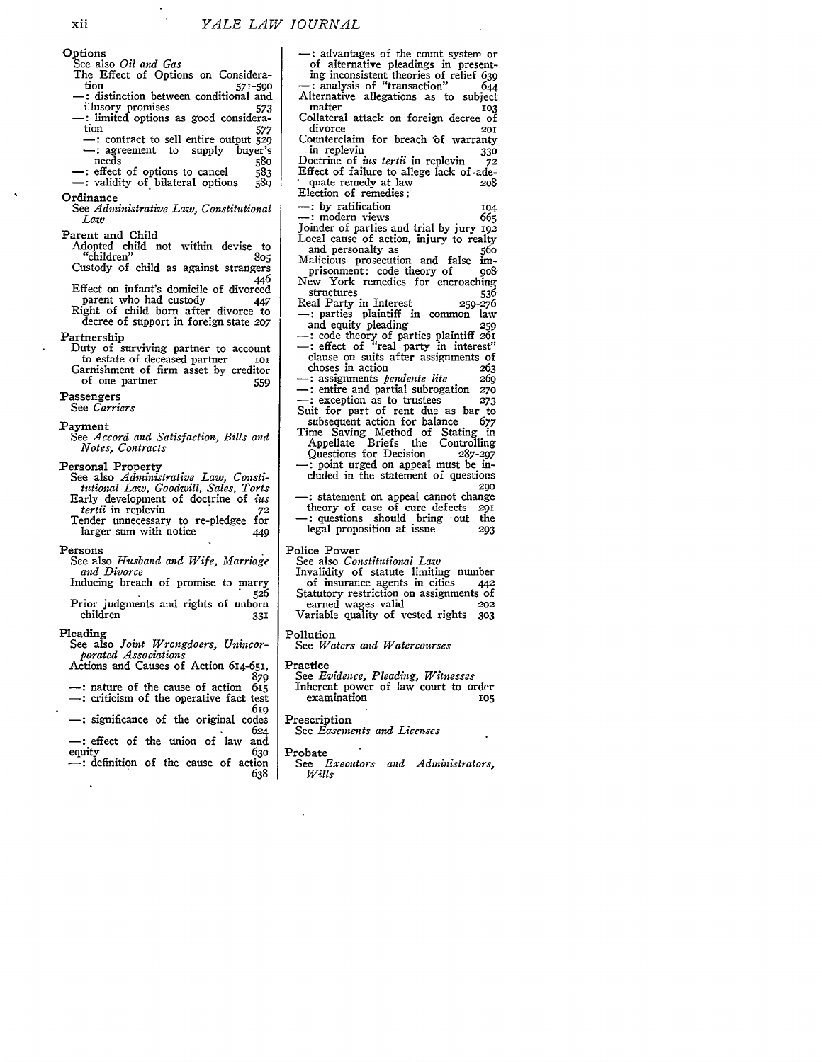- xii Options See also *Oil and Gas* The Effect of Options on Considera-<br>tion tion 590<br>distinction between conditional and<br>573<br>573 illusory promises **<sup>573</sup> -:** limited options as good consideration 577<br>  $\rightarrow$ : contract to sell entire output 529<br>  $\rightarrow$ : agreement to supply buyer's **:** agreement to **supply** buyer's -: effect of options to cancel 583<br>-: validity of bilateral options 589 Ordinance See *Administrative Law, Constitutional Law* Parent and Child Adopted child not within devise to Custody of child as against strangers "children" *805* 446 Effect on infant's domicile of divorced parent who had custody  $447$ Right of child born after divorce to decree of support in foreign state *207* Partnership Duty of surviving partner to account to estate of deceased partner ioi Garnishment of firm asset **by** creditor of one partner **559** Passengers See *Carriers* Payment See *Accord and Satisfaction, Bills and Notes, Contracts* Personal Property See also *Administrative Law, Constitutional Law, Goodwill, Sales, Torts* Early development of doctrine of *ius*<br>tertii in replevin 72 *tertii* in replevin **72** Tender unnecessary to re-pledgee for larger sum with notice  $449$ Persons See also *Husband and Wife*, Marriage *and Divorce* Inducing breach of promise to marry 526 Prior judgments and rights of unborn children 331 Pleading See also *Joint Wrongdoers, Unincorporated Associations* Actions and Causes of Action 614-651, 879 nature of the cause of action **<sup>615</sup>** -: criticism of the operative fact test <sup>619</sup> -: significance of the original codes <sup>624</sup> -: effect of the union of law and equity 630 -: definition of the cause of action **638**
	- **:** advantages of the count system or of alternative pleadings in presenting inconsistent theories of relief 639 **-:** analysis of "transaction" 644 Alternative allegations as to subject matter **103** Collateral attack on foreign decree of divorce **201** Counterclaim for breach 'of warranty **.in** replevin **330** Doctrine of *ins tertii* in replevin **72** Effect of failure to allege lack of .ade- quate remedy at law **<sup>208</sup>** Election of remedies: --: by ratification 104<br>--: modern views 665  $\ldots$  modern views Joinder of parties and trial by jury 192 Local cause of action, injury to realty<br>and personalty as and personalty as Malicious prosecution and false im-<br>prisonment: code theory of 008 prisonment: code theory of New York remedies for encroaching<br>structures 536 structures 536 Real Party in Interest **-:** parties plaintiff in common law and equity pleading **259** code theory of parties plaintiff **261** -: effect of "real party in interest" clause on suits after assignments of choses in action **263**<br> **263**<br> **260**<br> **260** -: assignments *pendente lite* **269** : entire and partial subrogation *<sup>270</sup>* : exception as to trustees **<sup>273</sup>** Suit for part of rent due as bar to<br>subsequent action for balance 677 subsequent action for balance Time Saving Method of Stating in Appellate Briefs the Controlling Questions for Decision **287-297** -: point urged on appeal must be included in the statement of questions 290 -: statement on appeal cannot change<br>theory of case of cure defects 291 theory of case of cure defects 29i **-:** questions should bring -out the legal proposition at issue *293* Police Power See also *Constitutional Law* Invalidity of statute limiting number<br>of insurance agents in cities 442 of insurance agents in cities Statutory restriction on assignments of<br>earned wages valid 202 earned wages valid *202* Variable quality of vested rights **303**
	- Pollution
	- See *Waters and Watercourses*

Practice

See *Evidence, Pleading, Witnesses* Inherent power of law court to order  $examination$ 

Prescription

See *Easements and Licenses*

Probate

*See Executors and Administrators, Wills*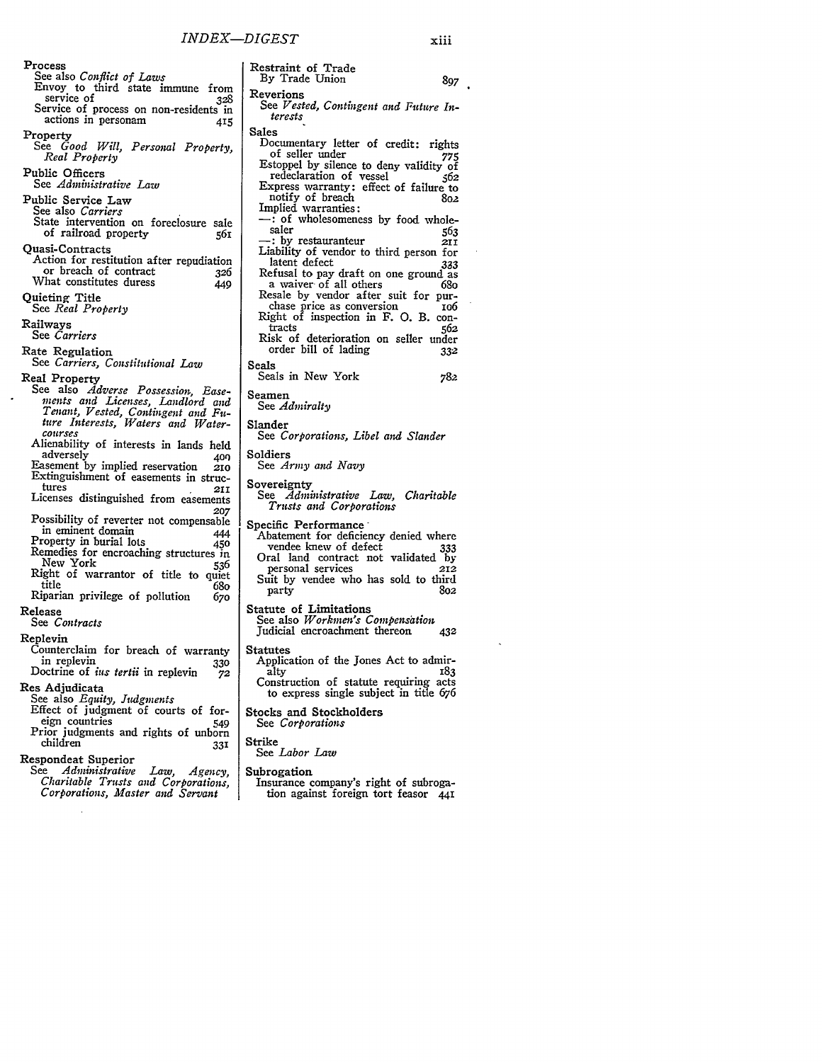Process See also *Conflict of Laws* Envoy to third state immune from service of **328** Service of process on non-residents in actions in personam 415 Property See *Good Will, Personal Property, Real Property* Public Officers See *Administrative Law* Public Service Law See also *Carriers* State intervention on foreclosure sale of railroad property **56I** Quasi-Contracts Action for restitution after repudiation<br>or breach of contract 326 What constitutes duress  $\frac{1}{449}$ Quieting Title See *Real Property* Railways See *Carriers* Rate Regulation See *Carriers, Constitutional Law* Real Property<br>See also Adverse Possession, Ease-See also *Adverse Possession, Ease- ments and Licenses, Landlord and Tenant, Vested, Contingent and Fu- ture Interests, W4aters and Water- courses* Alienability of interests in lands held adversely *400* Easement by implied reservation **210** Extinguishment of easements in structures **211** Licenses distinguished from easements *207* Possibility of reverter not compensable in eminent domain 444 Property in burial lots **450** Remedies for encroaching structures in New York 536 Right of warrantor of title to quiet title  $680$ Riparian privilege of pollution 67o Release See *Contracts* Replevin Counterclaim for breach of warranty in replevin *330* Doctrine of *ins tertii* in replevin **72** Res Adjudicata See also *Equity, Judgments* Effect of judgment of courts of foreign countries 549 Prior judgments and rights of unborn children 331 Respondeat Superior See *Administrative Law, Agency, Charitable Trusts and Corporations, Corporations, Master and Servant*

Restraint of Trade By Trade Union **897** Reverions *See Vested, Contingent and Future Interests* Sales Documentary letter of credit: rights<br>of seller under 775 Estoppel by silence to deny validity of redeclaration of vessel **562** Express warranty: effect of failure to notify of breach **802**<br>
Implied warranties: If very of wholesomeness by food whole-<br>saler  $563$ saler 553 **p**  $\frac{35}{211}$ Liability of vendor to third person for<br>latent defect 333 latent defect **333**<br>Refusal to pay draft on one ground as<br>a waiver of all others 68o Resale by vendor after suit for pur-<br>chase price as conversion io6 Right of inspection in F. O. B. con-<br>tracts 562 Risk of deterioration on seller under<br>order bill of lading 332 order bill of lading Seals Seals in New York **782** Seamen See *Admiralty* Slander See *Corporations, Libel and Slander* Soldiers See *Army and Navy* Sovereignty See *Administrative Law, Charitable Trusts and Corporations* Specific Performance Abatement for deficiency denied where<br>vendee knew of defect 333 vendee knew of defect 333 Oral land contract not validated by personal services **212** Suit **by** vendee who has sold to third party 802 Statute of Limitations<br>See also Workmen's Compensation Judicial encroachment thereon **432** Statutes Application of the Jones Act to admiralty <sup>183</sup> Construction of statute requiring acts to express single subject in title *676* Stocks and Stockholders See *Corporations* Strike See *Labor Law* Subrogation<br>Insurance company's right of subrogation against foreign tort feasor 441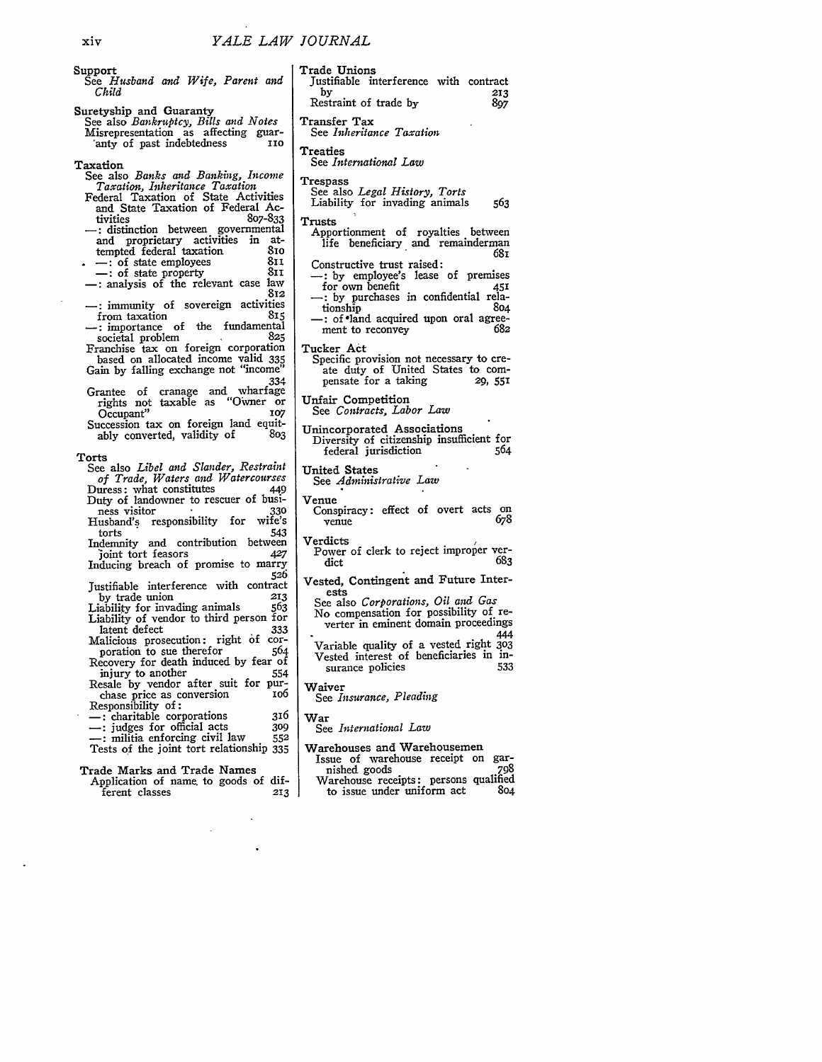See *Husband and Wife, Parent and* Suretyship and Guaranty See also *Bankruptcy, Bills and Notes* Misrepresentation as affecting guar- "anty of past indebtedness *No* See also *Banks and Banking, Income Taxation, Inheritance Taxation* Federal Taxation of State Activities and State Taxation of Federal Activities<br>807-833 tivities 807-833 -: distinction between governmental and proprietary activities in at-<br>temnted federal taxation 810 tempted federal taxation 810<br>
— : of state employees 811 -: of state employees 811<br>
-: of state property 811 **-:** of state property **8n** -: analysis of the relevant case law **812** --: immunity of sovereign activities<br>from taxation 815 from taxation the fundamental societal problem<br>825 societal problem **825** Franchise tax on foreign corporation based on allocated income valid 335 Gain by falling exchange not "income" 334 Grantee of cranage and wharfage rights not taxable as "Owner or Occupant" *07* Succession tax on foreign land equit-<br>ably converted, validity of 803 ably converted, validity of See also *Libel and Slander, Restraint of Trade, Waters and Watercourses* Duress: what constitutes 149 Duty of landowner to rescuer of busi-<br>
ness visitor **330** ness visitor and the series of the series of the Husband's responsibility for wife's<br>forts 543 torts 543 Indemnity and contribution between 3oint tort feasors 427 Inducing breach of promise to marry 526 Justifiable interference with contract by trade union 213<br>iability for invading animals 563 Liability for invading animals Liability of vendor to third person for latent defect Malicious prosecution: right of cor-<br>poration to sue therefor 564 poration to sue therefor Recovery for death induced by fear of<br>injury to another 554 injury to another Resale by vendor after suit for pur-<br>chase price as conversion 106 chase price as conversion 106<br>Responsibility of: **-:** charitable corporations 316 **-:** judges for official acts **309 -:** militia enforcing civil law **552** Tests of the joint tort relationship **335** Trade Marks and Trade Names Application of name to goods of dif-<br>ferent classes 213 ferent classes Trade Unions Justifiable interference with contract **by** 213 Restraint of trade **by 897** Transfer Tax See *Inheritance Taxation* Treaties See *International Law* **Trespass** See also *Legal History, Torts* Liability for invading animals **563** Trusts Apportionment of royalties between life beneficiary and remainderman Constructive trust raised: **-:** by employee's lease of premises for own benefit -: by purchases in confidential relationship -: of land acquired upon oral agree-<br>ment to reconvey 682 ment to reconvey Tucker Act Specific provision not necessary to create duty of United States to compensate for a taking **29, 55!** Unfair Competition See *Contracts, Labor Law* Unincorporated Associations Diversity of citizenship insufficient for federal jurisdiction 564 United States See *Administrative Law* Venue Conspiracy: effect of overt acts on  $v_{\text{enue}}$  678 venue **678** Verdicts Power of clerk to reject improper verdict **683** Vested, Contingent and Future Interests See also *Corporations, Oil and Gas* **No** compensation for possibility of reverter in eminent domain proceedings Variable quality of a vested right **303** Vested interest of beneficiaries in insurance policies Waiver See *Insurance, Pleading* War See *International Law* Warehouses and Warehousemen Issue of warehouse receipt on garnished goods 798 mished goods<br>Warehouse receipts: persons qualified<br>to issue under uniform act 804 to issue under uniform act

681

444

xiv

*Child*

Support

Taxation

Torts